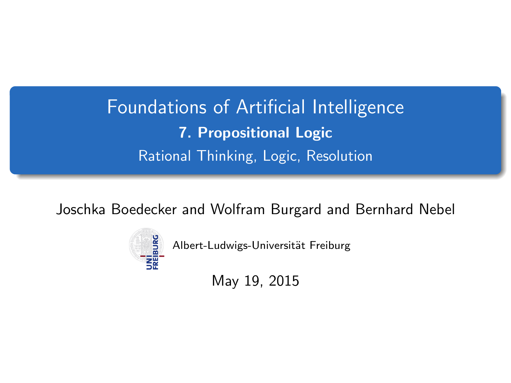# <span id="page-0-0"></span>Foundations of Artificial Intelligence 7. Propositional Logic Rational Thinking, Logic, Resolution

Joschka Boedecker and Wolfram Burgard and Bernhard Nebel



Albert-Ludwigs-Universität Freiburg

May 19, 2015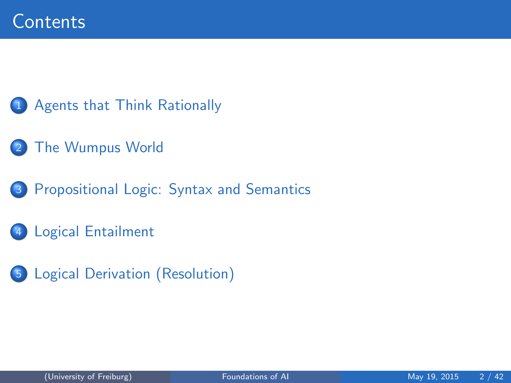#### [Agents that Think Rationally](#page-2-0)

- [The Wumpus World](#page-5-0)
- 3 [Propositional Logic: Syntax and Semantics](#page-10-0)
- 4 [Logical Entailment](#page-17-0)
- 5 [Logical Derivation \(Resolution\)](#page-23-0)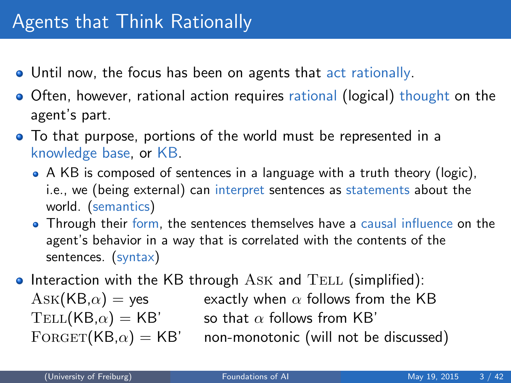- <span id="page-2-0"></span>**•** Until now, the focus has been on agents that act rationally.
- Often, however, rational action requires rational (logical) thought on the agent's part.
- To that purpose, portions of the world must be represented in a knowledge base, or KB.
	- A KB is composed of sentences in a language with a truth theory (logic), i.e., we (being external) can interpret sentences as statements about the world. (semantics)
	- Through their form, the sentences themselves have a causal influence on the agent's behavior in a way that is correlated with the contents of the sentences. (syntax)
- $\bullet$  Interaction with the KB through ASK and TELL (simplified):  $Ask(KB,\alpha) = yes$  exactly when  $\alpha$  follows from the KB  $TELL(KB,\alpha) = KB'$  so that  $\alpha$  follows from KB'  $FORGET(KB,\alpha) = KB'$  non-monotonic (will not be discussed)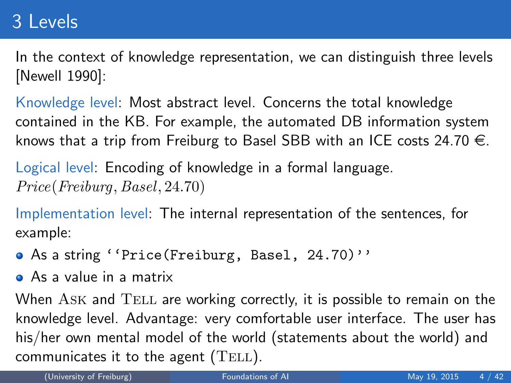# 3 Levels

In the context of knowledge representation, we can distinguish three levels [Newell 1990]:

Knowledge level: Most abstract level. Concerns the total knowledge contained in the KB. For example, the automated DB information system knows that a trip from Freiburg to Basel SBB with an ICE costs 24.70  $\in$ .

Logical level: Encoding of knowledge in a formal language. Price(Freiburg, Basel, 24.70)

Implementation level: The internal representation of the sentences, for example:

- As a string ''Price(Freiburg, Basel, 24.70)''
- As a value in a matrix

When  $ASK$  and  $TELL$  are working correctly, it is possible to remain on the knowledge level. Advantage: very comfortable user interface. The user has his/her own mental model of the world (statements about the world) and communicates it to the agent  $(TELL)$ .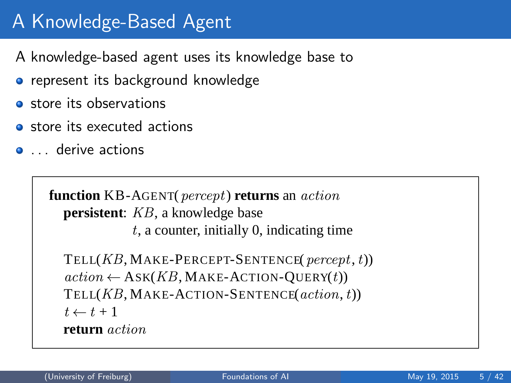# A Knowledge-Based Agent **7 Robert State State Agent**<br>7 November - Angel Agent

- A knowledge-based agent uses its knowledge base to
- **•** represent its background knowledge
- **o** store its observations
- **o** store its executed actions
- **e** derive actions

```
function KB-AGENT(percept) returns an action
  persistent: KB, a knowledge base
```
t, a counter, initially 0, indicating time

TELL $(KB, \text{MAKE-PERCEPT-SENTENCE}(\text{percept}, t))$  $action \leftarrow ASK(KB, MAKE-ACTION-Query(t))$ TELL $(KB, \text{MAKE-ACTION-SENTERCE}(action, t))$  $t \leftarrow t + 1$ **return** action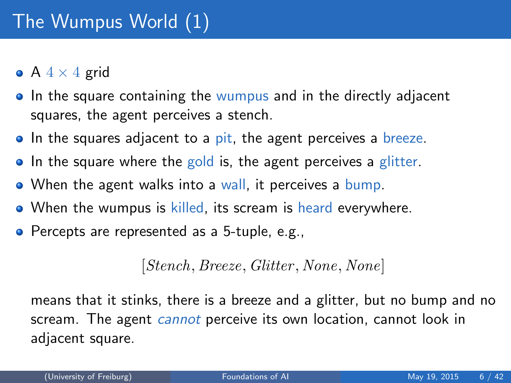- <span id="page-5-0"></span>• A  $4 \times 4$  grid
- In the square containing the wumpus and in the directly adjacent squares, the agent perceives a stench.
- In the squares adjacent to a pit, the agent perceives a breeze.
- In the square where the gold is, the agent perceives a glitter.
- When the agent walks into a wall, it perceives a bump.
- When the wumpus is killed, its scream is heard everywhere.
- **•** Percepts are represented as a 5-tuple, e.g.,

#### [Stench, Breeze, Glitter , None, None]

means that it stinks, there is a breeze and a glitter, but no bump and no scream. The agent *cannot* perceive its own location, cannot look in adjacent square.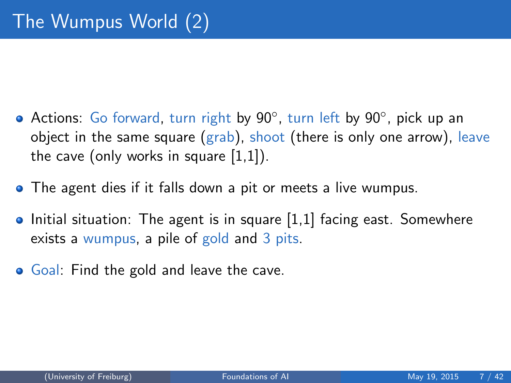- Actions: Go forward, turn right by 90°, turn left by 90°, pick up an object in the same square (grab), shoot (there is only one arrow), leave the cave (only works in square [1,1]).
- The agent dies if it falls down a pit or meets a live wumpus.
- $\bullet$  Initial situation: The agent is in square  $[1,1]$  facing east. Somewhere exists a wumpus, a pile of gold and 3 pits.
- Goal: Find the gold and leave the cave.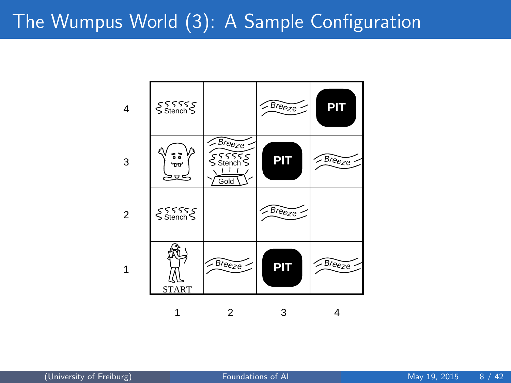## The Wumpus World (3): A Sample Configuration

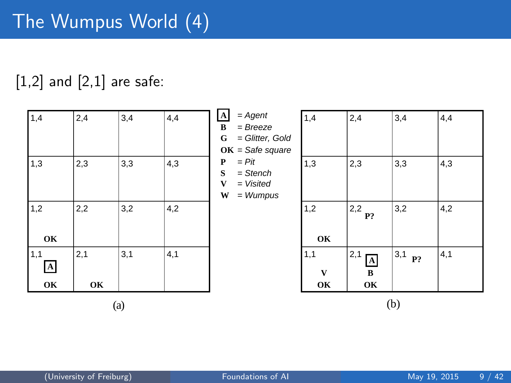#### $[1,2]$  and  $[2,1]$  are safe:

| 1,4                           | 2,4       | 3,4 | 4,4 | $\mathbf{A}$<br>$= Agent$<br>$= Breeze$<br>B<br>= Glitter, Gold<br>G<br>$OK = Safe square$ | 1,4            | 2,4                                    | 3,4       | 4,4 |
|-------------------------------|-----------|-----|-----|--------------------------------------------------------------------------------------------|----------------|----------------------------------------|-----------|-----|
| 1,3                           | 2,3       | 3,3 | 4,3 | $= Pit$<br>P<br>S<br>$=$ Stench<br>$= Visited$<br>V<br>W<br>$=$ Wumpus                     | 1,3            | 2,3                                    | 3,3       | 4,3 |
| 1,2<br>OK                     | 2,2       | 3,2 | 4,2 |                                                                                            | 1,2<br>OK      | $ 2,2$ $P$ ?                           | 3,2       | 4,2 |
| 1,1<br>$\blacktriangle$<br>OK | 2,1<br>OК | 3,1 | 4,1 |                                                                                            | 1,1<br>V<br>OK | 2,1<br>$\boldsymbol{\rm A}$<br>B<br>OK | 3,1<br>P? | 4,1 |

 $(a)$  (b)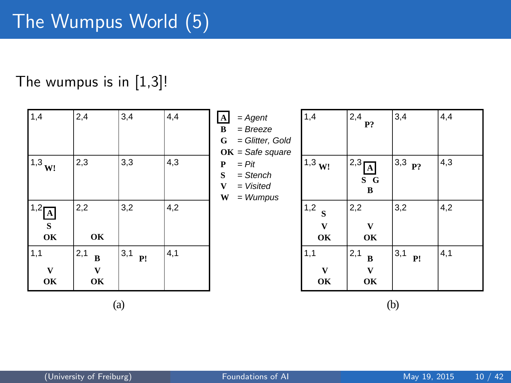#### The wumpus is in [1,3]!

| 1,4                                      | 2,4                        | 3,4       | 4,4 | $\mathbf{A}$<br>$=$ Agent<br>$= Breeze$<br>В<br>= Glitter, Gold<br>G<br>$OK = Safe square$ | 1,4                 | $ 2,4\rangle$<br>P?          | 3,4                | 4,4 |
|------------------------------------------|----------------------------|-----------|-----|--------------------------------------------------------------------------------------------|---------------------|------------------------------|--------------------|-----|
| $1^{1,3}$ W!                             | 2,3                        | 3,3       | 4,3 | $= Pit$<br>P<br>S<br>$=$ Stench<br>$= Visited$<br>V<br>W<br>$=$ Wumpus                     | $11,3$ W!           | $\frac{12,3}{4}$<br>S G<br>B | $ 3,3 \text{ p}$ ? | 4,3 |
| $^{11,2}$ <sup>A</sup><br>$\bf{s}$<br>OK | 2,2<br>OK                  | 3,2       | 4,2 |                                                                                            | 1,2<br>S<br>V<br>OK | 2,2<br>V<br>OK               | 3,2                | 4,2 |
| 1,1<br>V<br>OK                           | 2,1<br>$\bf{B}$<br>V<br>OK | 3,1<br>P! | 4,1 |                                                                                            | 1,1<br>V<br>OK      | 2,1<br>$\bf{B}$<br>V<br>OK   | 3,1<br>P!          | 4,1 |

 $(a)$  (b)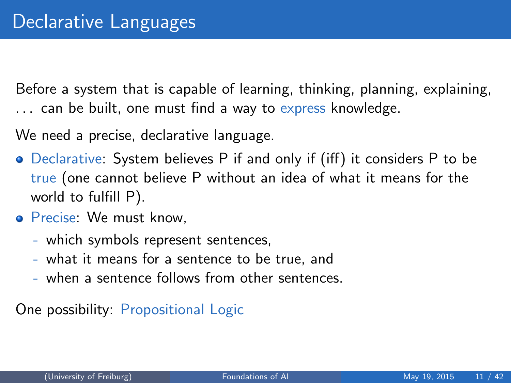<span id="page-10-0"></span>Before a system that is capable of learning, thinking, planning, explaining, ... can be built, one must find a way to express knowledge.

We need a precise, declarative language.

- Declarative: System believes P if and only if (iff) it considers P to be true (one cannot believe P without an idea of what it means for the world to fulfill P).
- Precise: We must know.
	- which symbols represent sentences,
	- what it means for a sentence to be true, and
	- when a sentence follows from other sentences.

One possibility: Propositional Logic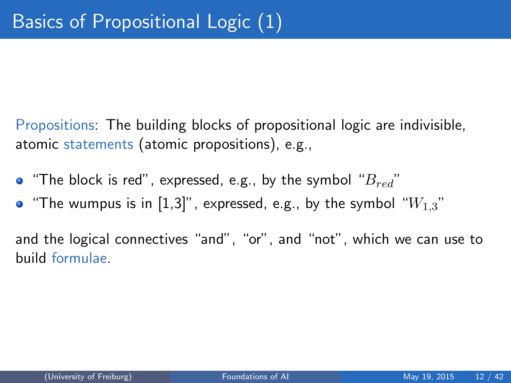Propositions: The building blocks of propositional logic are indivisible, atomic statements (atomic propositions), e.g.,

- "The block is red", expressed, e.g., by the symbol " $B_{red}$ "
- "The wumpus is in  $[1,3]$ ", expressed, e.g., by the symbol " $W_{1,3}$ "

and the logical connectives "and", "or", and "not", which we can use to build formulae.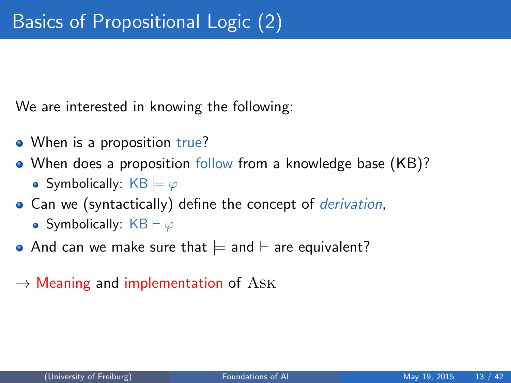We are interested in knowing the following:

- When is a proposition true?
- When does a proposition follow from a knowledge base (KB)? • Symbolically:  $KB \models \varphi$
- Can we (syntactically) define the concept of *derivation*,
	- Symbolically:  $KB \vdash \varphi$
- And can we make sure that  $\models$  and  $\models$  are equivalent?
- $\rightarrow$  Meaning and implementation of ASK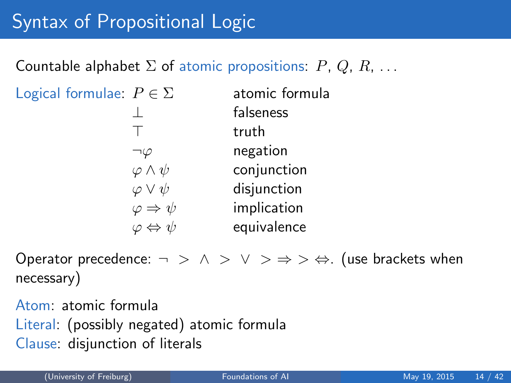## Syntax of Propositional Logic

Countable alphabet  $\Sigma$  of atomic propositions:  $P, Q, R, \ldots$ 

| Logical formulae: $P \in \Sigma$ | atomic formula |
|----------------------------------|----------------|
|                                  | falseness      |
|                                  | truth          |
|                                  | negation       |
| $\varphi \wedge \psi$            | conjunction    |
| $\varphi \vee \psi$              | disjunction    |
| $\varphi \Rightarrow \psi$       | implication    |
| $\varphi \Leftrightarrow \psi$   | equivalence    |

Operator precedence:  $\neg > \land > \lor > \Rightarrow > \Leftrightarrow$ . (use brackets when necessary)

Atom: atomic formula Literal: (possibly negated) atomic formula Clause: disjunction of literals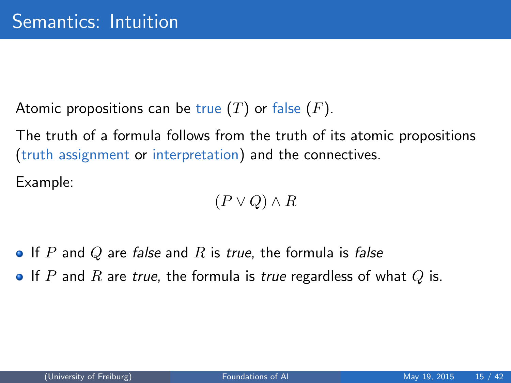Atomic propositions can be true  $(T)$  or false  $(F)$ .

The truth of a formula follows from the truth of its atomic propositions (truth assignment or interpretation) and the connectives.

Example:

 $(P \vee Q) \wedge R$ 

• If P and Q are false and R is true, the formula is false

If P and R are true, the formula is true regardless of what Q is.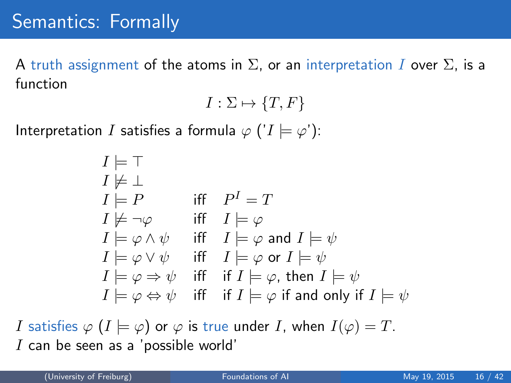### Semantics: Formally

A truth assignment of the atoms in  $\Sigma$ , or an interpretation I over  $\Sigma$ , is a function

$$
I: \Sigma \mapsto \{T, F\}
$$

Interpretation I satisfies a formula  $\varphi$  (' $I \models \varphi$ '):

$$
I \models \top
$$
\n
$$
I \not\models \bot
$$
\n
$$
I \models P \quad \text{iff} \quad P^I = T
$$
\n
$$
I \not\models \neg \varphi \quad \text{iff} \quad I \models \varphi
$$
\n
$$
I \models \varphi \land \psi \quad \text{iff} \quad I \models \varphi \text{ and } I \models \psi
$$
\n
$$
I \models \varphi \lor \psi \quad \text{iff} \quad I \models \varphi \text{ or } I \models \psi
$$
\n
$$
I \models \varphi \Rightarrow \psi \quad \text{iff} \quad \text{if} \quad I \models \varphi, \text{ then } I \models \psi
$$
\n
$$
I \models \varphi \Leftrightarrow \psi \quad \text{iff} \quad \text{if} \quad I \models \varphi \text{ if and only if } I \models \psi
$$

I satisfies  $\varphi$   $(I \models \varphi)$  or  $\varphi$  is true under I, when  $I(\varphi) = T$ .  $I$  can be seen as a 'possible world'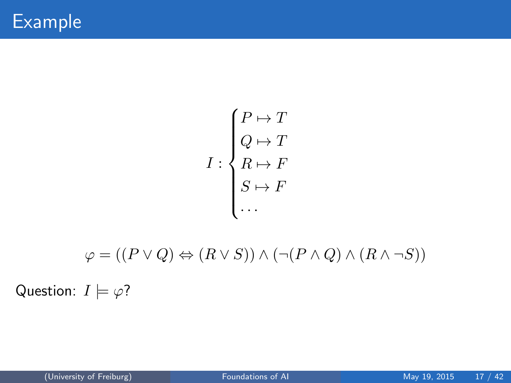$$
I: \begin{cases} P \mapsto T \\ Q \mapsto T \\ R \mapsto F \\ S \mapsto F \\ \dots \end{cases}
$$

$$
\varphi=((P\vee Q)\Leftrightarrow (R\vee S))\wedge (\neg (P\wedge Q)\wedge (R\wedge \neg S))
$$
   
Question:  $I\models\varphi?$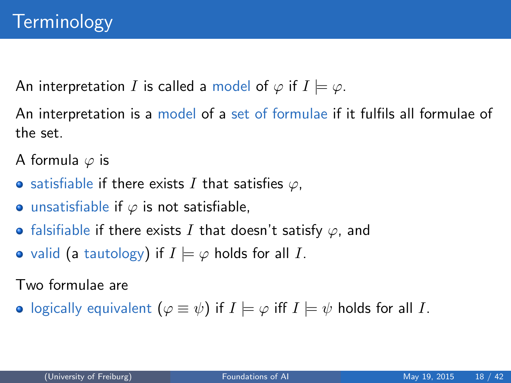<span id="page-17-0"></span>An interpretation I is called a model of  $\varphi$  if  $I \models \varphi$ .

An interpretation is a model of a set of formulae if it fulfils all formulae of the set.

A formula  $\varphi$  is

- satisfiable if there exists I that satisfies  $\varphi$ ,
- **•** unsatisfiable if  $\varphi$  is not satisfiable,
- falsifiable if there exists I that doesn't satisfy  $\varphi$ , and
- valid (a tautology) if  $I \models \varphi$  holds for all I.

Two formulae are

• logically equivalent  $(\varphi \equiv \psi)$  if  $I \models \varphi$  iff  $I \models \psi$  holds for all I.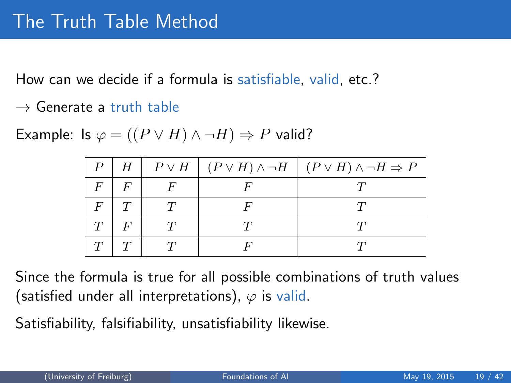How can we decide if a formula is satisfiable, valid, etc.?

 $\rightarrow$  Generate a truth table

Example: Is  $\varphi = ((P \vee H) \wedge \neg H) \Rightarrow P$  valid?

| H |  | $P \vee H \mid (P \vee H) \wedge \neg H \mid (P \vee H) \wedge \neg H \Rightarrow P$ |
|---|--|--------------------------------------------------------------------------------------|
|   |  |                                                                                      |
|   |  |                                                                                      |
|   |  |                                                                                      |
|   |  |                                                                                      |

Since the formula is true for all possible combinations of truth values (satisfied under all interpretations),  $\varphi$  is valid.

Satisfiability, falsifiability, unsatisfiability likewise.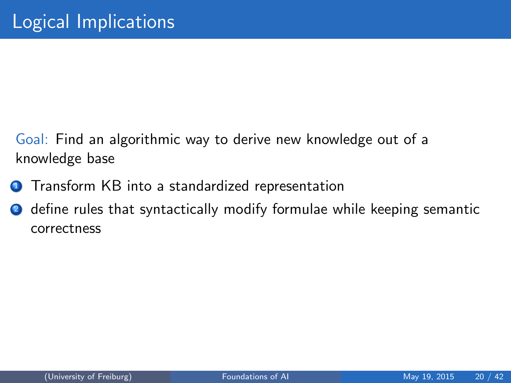- Goal: Find an algorithmic way to derive new knowledge out of a knowledge base
- **1** Transform KB into a standardized representation
- **2** define rules that syntactically modify formulae while keeping semantic correctness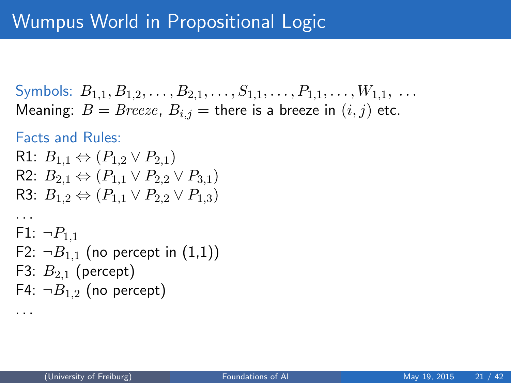## Wumpus World in Propositional Logic

```
Symbols: B_{1,1}, B_{1,2}, \ldots, B_{2,1}, \ldots, S_{1,1}, \ldots, P_{1,1}, \ldots, W_{1,1}, \ldotsMeaning: B = Breeze, B_{i,j} = there is a breeze in (i, j) etc.
```
#### Facts and Rules:

. . .

. . .

```
R1: B_{1,1} \Leftrightarrow (P_{1,2} \vee P_{2,1})R2: B_{2,1} ⇔ (P_{1,1} \vee P_{2,2} \vee P_{3,1})R3: B_1, \Leftrightarrow (P_{1}, \vee P_{2}, \vee P_{1,3})
```

```
F1: \neg P_{1,1}F2: \neg B_{1,1} (no percept in (1,1))
F3: B_{2,1} (percept)
F4: \neg B_{1,2} (no percept)
```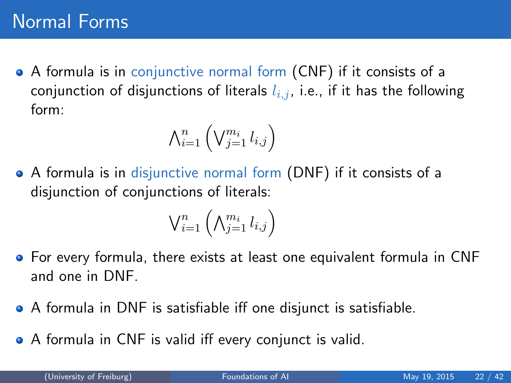A formula is in conjunctive normal form (CNF) if it consists of a conjunction of disjunctions of literals  $l_{i,j}$ , i.e., if it has the following form:

$$
\bigwedge_{i=1}^n \left(\bigvee_{j=1}^{m_i} l_{i,j}\right)
$$

A formula is in disjunctive normal form (DNF) if it consists of a disjunction of conjunctions of literals:

$$
\mathsf{V}^n_{i=1}\left(\mathsf{\Lambda}^{m_i}_{j=1} \, l_{i,j}\right)
$$

- For every formula, there exists at least one equivalent formula in CNF and one in DNF.
- A formula in DNF is satisfiable iff one disjunct is satisfiable.
- A formula in CNF is valid iff every conjunct is valid.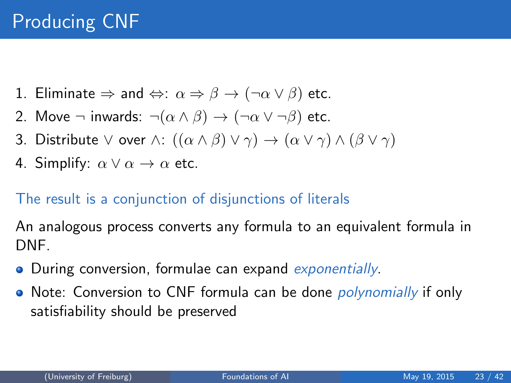- 1. Eliminate  $\Rightarrow$  and  $\Leftrightarrow$ :  $\alpha \Rightarrow \beta \rightarrow (\neg \alpha \vee \beta)$  etc.
- 2. Move  $\neg$  inwards:  $\neg(\alpha \land \beta) \rightarrow (\neg \alpha \lor \neg \beta)$  etc.
- 3. Distribute  $\vee$  over  $\wedge$ :  $((\alpha \wedge \beta) \vee \gamma) \rightarrow (\alpha \vee \gamma) \wedge (\beta \vee \gamma)$
- 4. Simplify:  $\alpha \vee \alpha \rightarrow \alpha$  etc.

#### The result is a conjunction of disjunctions of literals

An analogous process converts any formula to an equivalent formula in DNF.

- **•** During conversion, formulae can expand *exponentially*.
- Note: Conversion to CNF formula can be done *polynomially* if only satisfiability should be preserved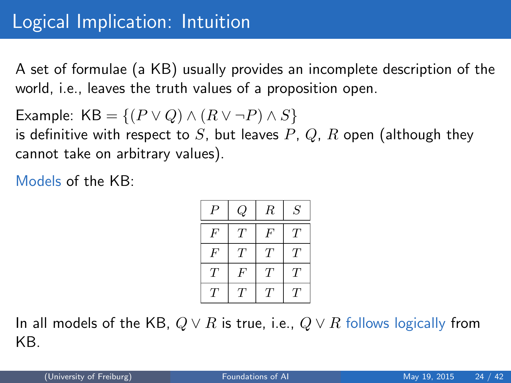<span id="page-23-0"></span>A set of formulae (a KB) usually provides an incomplete description of the world, i.e., leaves the truth values of a proposition open.

Example: 
$$
KB = \{(P \lor Q) \land (R \lor \neg P) \land S\}
$$
 is definitive with respect to S, but leaves P, Q, R open (although they

cannot take on arbitrary values).

Models of the KB:

| Р                | ç, | R      | S                |
|------------------|----|--------|------------------|
| F                | Т  | $\,F$  | $\scriptstyle T$ |
| $\boldsymbol{F}$ | Т  | Т      | T                |
| T                | F  | Т      | T                |
| $\tau$           | T  | $\tau$ | $\tau$           |

In all models of the KB,  $Q \vee R$  is true, i.e.,  $Q \vee R$  follows logically from KB.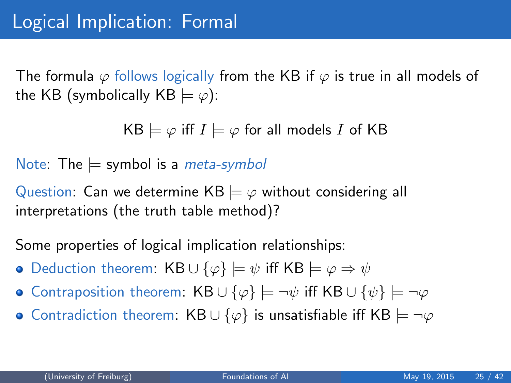The formula  $\varphi$  follows logically from the KB if  $\varphi$  is true in all models of the KB (symbolically KB  $\models \varphi$ ):

 $KB \models \varphi$  iff  $I \models \varphi$  for all models I of KB

Note: The  $\models$  symbol is a *meta-symbol* 

Question: Can we determine  $KB \models \varphi$  without considering all interpretations (the truth table method)?

Some properties of logical implication relationships:

- Deduction theorem: KB ∪ { $\varphi$ }  $\models \psi$  iff KB  $\models \varphi \Rightarrow \psi$
- Contraposition theorem: KB ∪ { $\varphi$ }  $\models \neg \psi$  iff KB ∪ { $\psi$ }  $\models \neg \varphi$
- Contradiction theorem: KB  $\cup$  { $\varphi$ } is unsatisfiable iff KB  $\models \neg \varphi$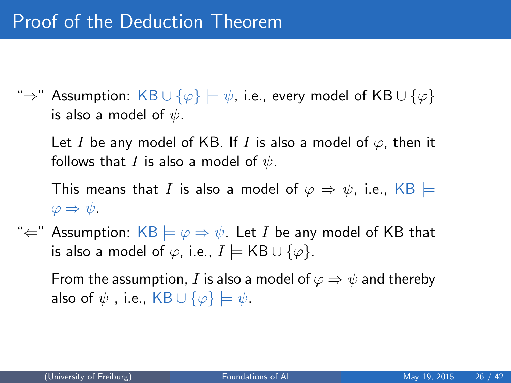"⇒" Assumption: KB  $\cup$  { $\varphi$ }  $\models \psi$ , i.e., every model of KB  $\cup$  { $\varphi$ } is also a model of  $\psi$ .

Let I be any model of KB. If I is also a model of  $\varphi$ , then it follows that I is also a model of  $\psi$ .

This means that I is also a model of  $\varphi \Rightarrow \psi$ , i.e., KB  $\models$  $\varphi \Rightarrow \psi.$ 

" $\Leftarrow$ " Assumption: KB  $\models \varphi \Rightarrow \psi$ . Let I be any model of KB that is also a model of  $\varphi$ , i.e.,  $I \models \mathsf{KB} \cup \{\varphi\}.$ 

From the assumption, I is also a model of  $\varphi \Rightarrow \psi$  and thereby also of  $\psi$ , i.e., KB  $\cup$  { $\varphi$ }  $\models \psi$ .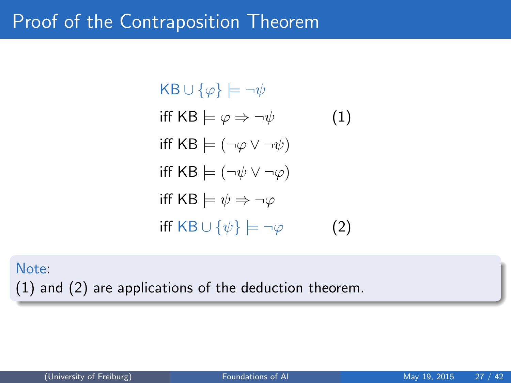## Proof of the Contraposition Theorem

 $KB \cup {\varphi} \models \neg \psi$ iff KB  $\models \varphi \Rightarrow \neg \psi$  (1) iff KB  $\models (\neg \varphi \vee \neg \psi)$ iff KB  $\models (\neg \psi \lor \neg \varphi)$ iff KB  $\models \psi \Rightarrow \neg \varphi$ iff KB  $\cup$  { $\psi$ }  $\models \neg \varphi$  (2)

Note: (1) and (2) are applications of the deduction theorem.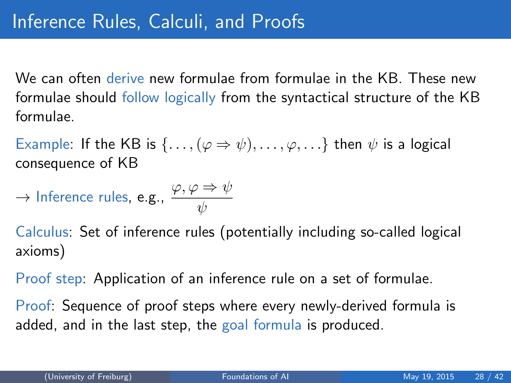We can often derive new formulae from formulae in the KB. These new formulae should follow logically from the syntactical structure of the KB formulae.

Example: If the KB is  $\{ \ldots, (\varphi \Rightarrow \psi), \ldots, \varphi, \ldots \}$  then  $\psi$  is a logical consequence of KB

$$
\rightarrow \text{Inference rules, e.g., } \frac{\varphi, \varphi \Rightarrow \psi}{\psi}
$$

Calculus: Set of inference rules (potentially including so-called logical axioms)

Proof step: Application of an inference rule on a set of formulae.

Proof: Sequence of proof steps where every newly-derived formula is added, and in the last step, the goal formula is produced.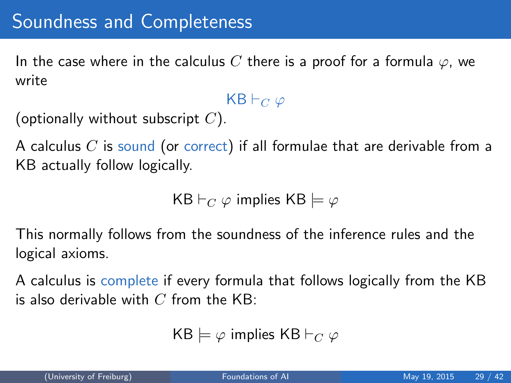In the case where in the calculus C there is a proof for a formula  $\varphi$ , we write

#### $KB \vdash_C \varphi$

```
(optionally without subscript C).
```
A calculus  $C$  is sound (or correct) if all formulae that are derivable from a KB actually follow logically.

KB  $\vdash_C \varphi$  implies KB  $\models \varphi$ 

This normally follows from the soundness of the inference rules and the logical axioms.

A calculus is complete if every formula that follows logically from the KB is also derivable with  $C$  from the KB:

```
KB \models \varphi implies KB \vdash_C \varphi
```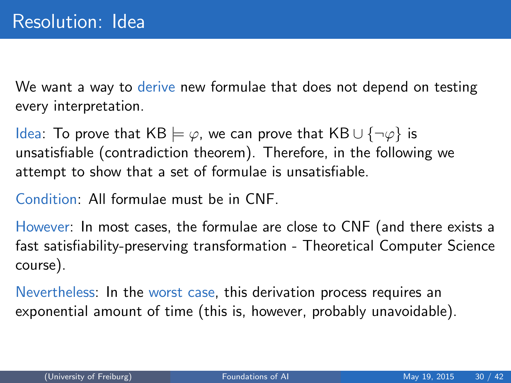We want a way to derive new formulae that does not depend on testing every interpretation.

Idea: To prove that KB  $\models \varphi$ , we can prove that KB ∪ {¬ $\varphi$ } is unsatisfiable (contradiction theorem). Therefore, in the following we attempt to show that a set of formulae is unsatisfiable.

Condition: All formulae must be in CNF.

However: In most cases, the formulae are close to CNF (and there exists a fast satisfiability-preserving transformation - Theoretical Computer Science course).

Nevertheless: In the worst case, this derivation process requires an exponential amount of time (this is, however, probably unavoidable).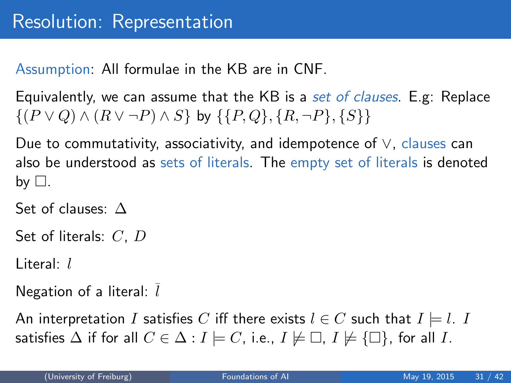Assumption: All formulae in the KB are in CNF.

Equivalently, we can assume that the KB is a set of clauses. E.g: Replace  $\{(P \vee Q) \wedge (R \vee \neg P) \wedge S\}$  by  $\{\{P,Q\}, \{R, \neg P\}, \{S\}\}\$ 

Due to commutativity, associativity, and idempotence of ∨, clauses can also be understood as sets of literals. The empty set of literals is denoted by  $\Box$ .

Set of clauses: △

Set of literals: C, D

Literal: l

Negation of a literal:  $l$ 

An interpretation I satisfies C iff there exists  $l \in C$  such that  $I \models l$ . I satisfies  $\Delta$  if for all  $C \in \Delta : I \models C$ , i.e.,  $I \not\models \Box$ ,  $I \not\models {\Box}$ , for all I.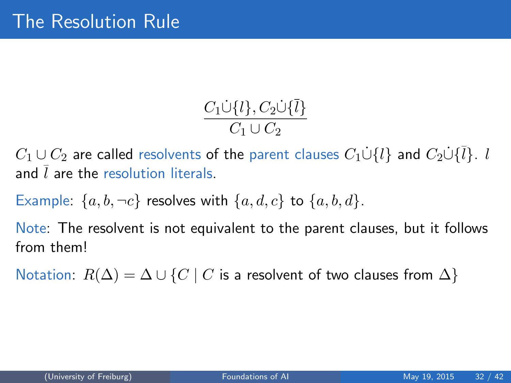$$
\frac{C_1\dot{\cup}\{l\},C_2\dot{\cup}\{\bar{l}\}}{C_1\cup C_2}
$$

 $C_1 \cup C_2$  are called resolvents of the parent clauses  $C_1 \dot{\cup} \{l\}$  and  $C_2 \dot{\cup} \{\overline{l}\}$ . l and l are the resolution literals.

Example:  $\{a, b, \neg c\}$  resolves with  $\{a, d, c\}$  to  $\{a, b, d\}$ .

Note: The resolvent is not equivalent to the parent clauses, but it follows from them!

Notation:  $R(\Delta) = \Delta \cup \{C \mid C$  is a resolvent of two clauses from  $\Delta\}$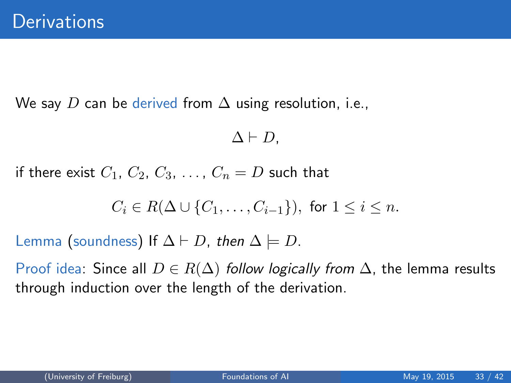We say D can be derived from  $\Delta$  using resolution, i.e.,

$$
\Delta \vdash D,
$$

if there exist  $C_1$ ,  $C_2$ ,  $C_3$ , ...,  $C_n = D$  such that

$$
C_i \in R(\Delta \cup \{C_1, \ldots, C_{i-1}\}), \text{ for } 1 \leq i \leq n.
$$

Lemma (soundness) If  $\Delta \vdash D$ , then  $\Delta \models D$ .

Proof idea: Since all  $D \in R(\Delta)$  follow logically from  $\Delta$ , the lemma results through induction over the length of the derivation.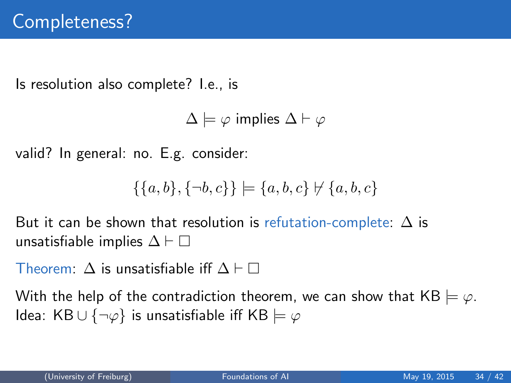Is resolution also complete? I.e., is

 $\Delta \models \varphi$  implies  $\Delta \vdash \varphi$ 

valid? In general: no. E.g. consider:

$$
\{\{a,b\},\{\neg b,c\}\} \models \{a,b,c\} \not\vdash \{a,b,c\}
$$

But it can be shown that resolution is refutation-complete:  $\Delta$  is unsatisfiable implies  $\Delta \vdash \Box$ 

Theorem:  $\Lambda$  is unsatisfiable iff  $\Lambda \vdash \Box$ 

With the help of the contradiction theorem, we can show that  $KB \models \varphi$ . Idea: KB  $\cup$  {¬ $\varphi$ } is unsatisfiable iff KB  $\models \varphi$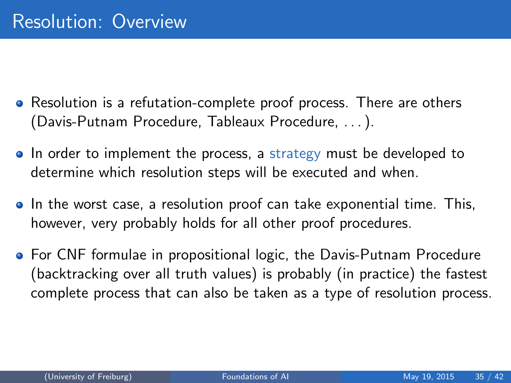- Resolution is a refutation-complete proof process. There are others (Davis-Putnam Procedure, Tableaux Procedure, . . . ).
- In order to implement the process, a strategy must be developed to determine which resolution steps will be executed and when.
- In the worst case, a resolution proof can take exponential time. This, however, very probably holds for all other proof procedures.
- **•** For CNF formulae in propositional logic, the Davis-Putnam Procedure (backtracking over all truth values) is probably (in practice) the fastest complete process that can also be taken as a type of resolution process.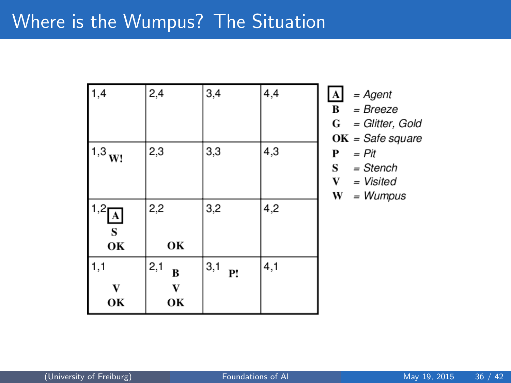| 1,4                          | 2,4                            | 3,4       | 4,4 | $\frac{A}{B}$<br>G<br>$\mathbf 0$ |
|------------------------------|--------------------------------|-----------|-----|-----------------------------------|
| $1,3_{\rm W!}$               | 2,3                            | 3,3       | 4,3 | P<br>S<br>$\mathbf{V}$<br>V       |
| $1,2$ $\boxed{A}$<br>S<br>OK | 2,2<br>OK                      | 3,2       | 4,2 |                                   |
| 1,1<br>OK                    | 2,1<br>B<br>$\mathbf{V}$<br>OК | 3,1<br>P! | 4,1 |                                   |

$$
W = Wumpus
$$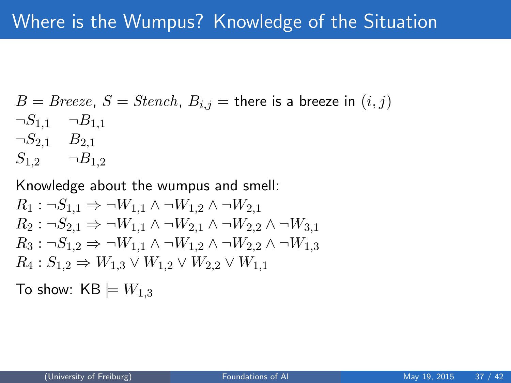$$
B = Breeze, S = Stench, B_{i,j} = \text{there is a breeze in } (i, j)
$$
  

$$
\neg S_{1,1} \quad \neg B_{1,1}
$$
  

$$
\neg S_{2,1} \quad B_{2,1}
$$
  

$$
S_{1,2} \quad \neg B_{1,2}
$$

Knowledge about the wumpus and smell:

$$
R_1: \neg S_{1,1} \Rightarrow \neg W_{1,1} \land \neg W_{1,2} \land \neg W_{2,1}
$$
  
\n
$$
R_2: \neg S_{2,1} \Rightarrow \neg W_{1,1} \land \neg W_{2,1} \land \neg W_{2,2} \land \neg W_{3,1}
$$
  
\n
$$
R_3: \neg S_{1,2} \Rightarrow \neg W_{1,1} \land \neg W_{1,2} \land \neg W_{2,2} \land \neg W_{1,3}
$$
  
\n
$$
R_4: S_{1,2} \Rightarrow W_{1,3} \lor W_{1,2} \lor W_{2,2} \lor W_{1,1}
$$

To show:  $KB \models W_{1,3}$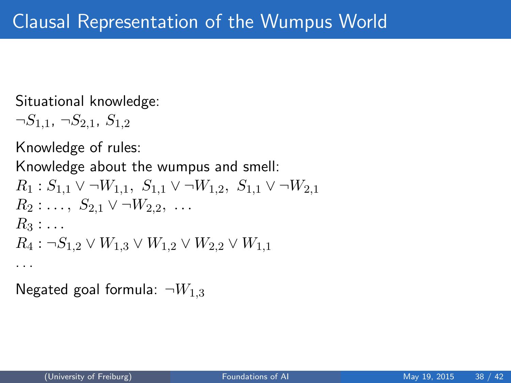Situational knowledge:

 $\neg S_{1,1}$ ,  $\neg S_{2,1}$ ,  $S_{1,2}$ 

Knowledge of rules:

Knowledge about the wumpus and smell:  $R_1 : S_{1,1} \vee \neg W_{1,1}, S_{1,1} \vee \neg W_{1,2}, S_{1,1} \vee \neg W_{2,1}$  $R_2: \ldots, S_{2,1} \vee \neg W_{2,2}, \ldots$  $R_3 : \ldots$  $R_4$ : ¬ $S_{1,2}$   $\vee$   $W_{1,3}$   $\vee$   $W_{1,2}$   $\vee$   $W_{2,2}$   $\vee$   $W_{1,1}$ . . .

Negated goal formula:  $\neg W_{1,3}$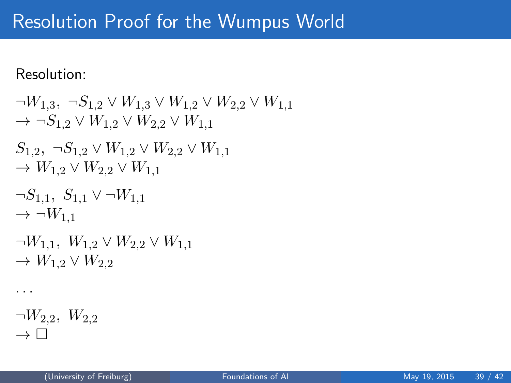## Resolution Proof for the Wumpus World

Resolution:

```
\neg W_{1,3}, \neg S_{1,2} \vee W_{1,3} \vee W_{1,2} \vee W_{2,2} \vee W_{1,1}\rightarrow \neg S_{1,2} \vee W_{1,2} \vee W_{2,2} \vee W_{1,1}S_{1,2}, ¬S_{1,2} ∨ W_{1,2} ∨ W_{2,2} ∨ W_{1,1}\rightarrow W_{1,2} \vee W_{2,2} \vee W_{1,1}\neg S_{1,1}, S_{1,1} \vee \neg W_{1,1}\rightarrow \neg W_{1,1}\neg W_{1,1}, W_{1,2} \vee W_{2,2} \vee W_{1,1}\rightarrow W_{1,2} \vee W_{2,2}. . .
\neg W_{2,2}, W_{2,2}\rightarrow \Box
```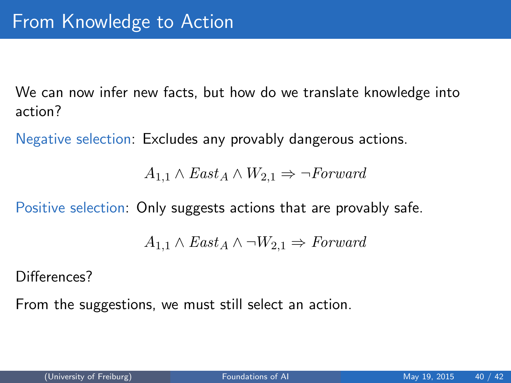We can now infer new facts, but how do we translate knowledge into action?

Negative selection: Excludes any provably dangerous actions.

 $A_{1,1} \wedge East_A \wedge W_{2,1} \Rightarrow \neg Forward$ 

Positive selection: Only suggests actions that are provably safe.

$$
A_{1,1} \wedge East_A \wedge \neg W_{2,1} \Rightarrow Forward
$$

Differences?

From the suggestions, we must still select an action.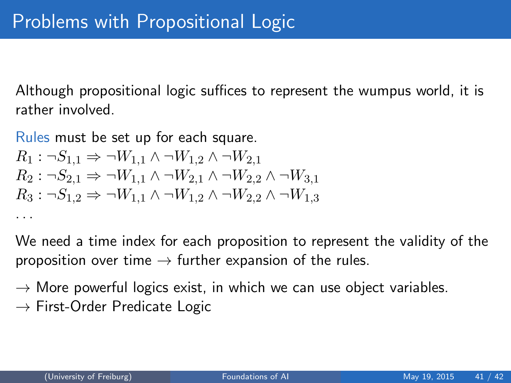Although propositional logic suffices to represent the wumpus world, it is rather involved.

Rules must be set up for each square.  $R_1$ :  $\neg S_{1,1} \Rightarrow \neg W_{1,1} \land \neg W_{1,2} \land \neg W_{2,1}$  $R_2$ :  $\neg S_{2,1} \Rightarrow \neg W_{1,1} \land \neg W_{2,1} \land \neg W_{2,2} \land \neg W_{3,1}$  $R_3: \neg S_{1,2} \Rightarrow \neg W_{1,1} \wedge \neg W_{1,2} \wedge \neg W_{2,2} \wedge \neg W_{1,3}$ 

We need a time index for each proposition to represent the validity of the proposition over time  $\rightarrow$  further expansion of the rules.

 $\rightarrow$  More powerful logics exist, in which we can use object variables.  $\rightarrow$  First-Order Predicate Logic

. . .